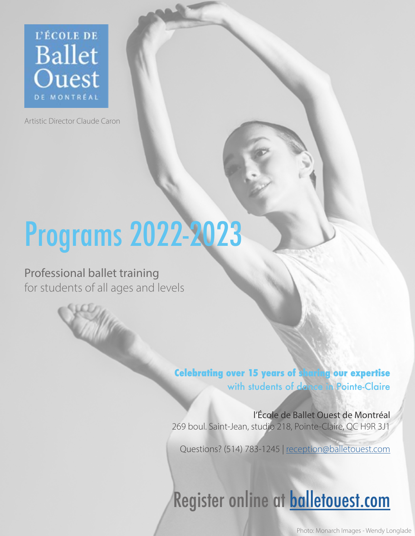

Artistic Director Claude Caron

# Programs 2022-2023

## Professional ballet training for students of all ages and levels

**Celebrating over 15 years of sharing our expertise**  with students of dance in Pointe-Claire

l'École de Ballet Ouest de Montréal 269 boul. Saint-Jean, studio 218, Pointe-Claire, QC H9R 3J1

Questions? (514) 783-1245 | [reception@balletouest.com](mailto:reception%40balletouest.com?subject=)

# Register online at **[balletouest.com](https://balletouest.com/school/)**

Photo: Monarch Images - Wendy Longlade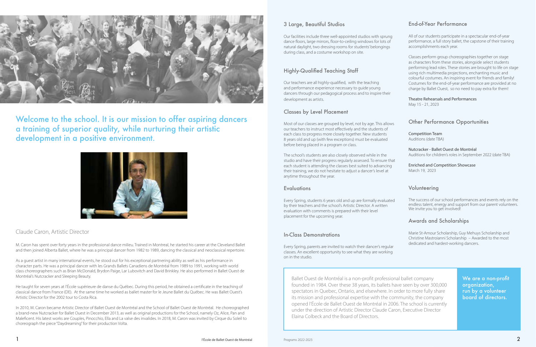#### 3 Large, Beautiful Studios

Our facilities include three well-appointed studios with sprung dance floors, large mirrors, floor-to-ceiling windows for lots of natural daylight, two dressing rooms for students' belongings during class, and a costume workshop on site.

### Highly-Qualified Teaching Staff

Our teachers are all highly-qualified, with the teaching and performance experience necessary to guide young dancers through our pedagogical process and to inspire their development as artists.

#### Classes by Level Placement

Most of our classes are grouped by level, not by age. This allows our teachers to instruct most effectively and the students of each class to progress more closely together. New students 8 years old and up (with few exceptions) must be evaluated before being placed in a program or class.

The school's students are also closely observed while in the studio and have their progress regularly assessed. To ensure that each student is attending the classes best suited to advancing their training, we do not hesitate to adjust a dancer's level at anytime throughout the year.

#### **Evaluations**

The success of our school performances and events rely on the endless talent, energy and support from our parent volunteers. We invite you to get involved!

Every Spring, students 6 years old and up are formally evaluated by their teachers and the school's Artistic Director. A written evaluation with comments is prepared with their level placement for the upcoming year.

#### In-Class Demonstrations

Every Spring, parents are invited to watch their dancer's regular classes. An excellent opportunity to see what they are working on in the studio.

#### End-of-Year Performance

All of our students participate in a spectacular end-of-year performance, a full story ballet, the capstone of their training accomplishments each year.

Classes perform group choreographies together on stage as characters from these stories, alongside select students performing lead roles. These stories are brought to life on stage using rich multimedia projections, enchanting music and colourful costumes. An inspiring event for friends and family! Costumes for the end-of-year performance are provided at no charge by Ballet Ouest, so no need to pay extra for them!

#### Theatre Rehearsals and Performances

May 15 - 21, 2023

#### Other Performance Opportunities

Competition Team Auditions (date TBA)

Nutcracker - Ballet Ouest de Montréal Auditions for children's roles in September 2022 (date TBA)

Enriched and Competition Showcase March 19, 2023

#### Volunteering

#### Awards and Scholarships

Marie St-Amour Scholarship, Guy Mehuys Scholarship and Christine Mastroianni Scholarship – Awarded to the most dedicated and hardest-working dancers.



Welcome to the school. It is our mission to offer aspiring dancers a training of superior quality, while nurturing their artistic development in a positive environment.



#### Claude Caron, Artistic Director

M. Caron has spent over forty years in the professional dance milieu. Trained in Montreal, he started his career at the Cleveland Ballet and then joined Alberta Ballet, where he was a principal dancer from 1982 to 1989, dancing the classical and neoclassical repertoire.

As a guest artist in many international events, he stood out for his exceptional partnering ability as well as his performance in character parts. He was a principal dancer with les Grands Ballets Canadiens de Montréal from 1989 to 1991, working with world class choreographers such as Brian McDonald, Brydon Paige, Lar Lubovitch and David Brinkley. He also performed in Ballet Ouest de Montréal's Nutcracker and Sleeping Beauty.

He taught for seven years at l'École supérieure de danse du Québec. During this period, he obtained a certificate in the teaching of classical dance from France (DE). At the same time he worked as ballet master for le Jeune Ballet du Québec. He was Ballet Ouest's Artistic Director for the 2002 tour to Costa Rica.

In 2010, M. Caron became Artistic Director of Ballet Ouest de Montréal and the School of Ballet Ouest de Montréal. He choreographed a brand-new Nutcracker for Ballet Ouest in December 2013, as well as original productions for the School, namely Oz, Alice, Pan and Maleficent. His latest works are Couples, Pinocchio, Ella and La valse des invalides. In 2018, M. Caron was invited by Cirque du Soleil to choreograph the piece "Daydreaming" for their production Volta.

We are a non-profit organization, run by a volunteer board of directors.

Ballet Ouest de Montréal is a non-profit professional ballet company founded in 1984. Over these 38 years, its ballets have seen by over 300,000 spectators in Quebec, Ontario, and elsewhere. In order to more fully share its mission and professional expertise with the community, the company opened l'École de Ballet Ouest de Montréal in 2006. The school is currently under the direction of Artistic Director Claude Caron, Executive Director Elaina Colbeck and the Board of Directors.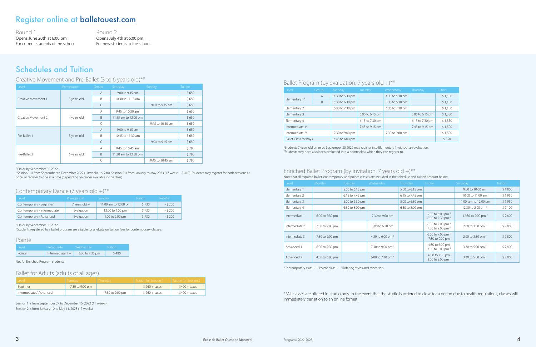| Level                        | Group,         | Monday          | Tuesday         | Wednesday       | Thursday        | <b>Tuition</b> |
|------------------------------|----------------|-----------------|-----------------|-----------------|-----------------|----------------|
|                              | $\overline{A}$ | 4:30 to 5:30 pm |                 | 4:30 to 5:30 pm |                 | \$1,180        |
| Elementary $13$              | B              | 5:30 to 6:30 pm |                 | 5:30 to 6:30 pm |                 | \$1,180        |
| Elementary 2                 |                | 6:30 to 7:30 pm |                 | 6:30 to 7:30 pm |                 | \$1,180        |
| Elementary 3                 |                |                 | 5:00 to 6:15 pm |                 | 5:00 to 6:15 pm | \$1,350        |
| Elementary 4                 |                |                 | 6:15 to 7:30 pm |                 | 6:15 to 7:30 pm | \$1,350        |
| Intermediate 14              |                |                 | 7:45 to 9:15 pm |                 | 7:45 to 9:15 pm | \$1,500        |
| Intermediate 24              |                | 7:30 to 9:00 pm |                 | 7:30 to 9:00 pm |                 | \$1,500        |
| <b>Ballet Class for Boys</b> |                | 4:45 to 6:00 pm |                 |                 |                 | \$550          |

#### Enriched Ballet Program (by invitation, 7 years old  $+$ )\*\* Note that all required ballet, contemporary and pointe classes are included in the schedule and tuition amount below.

3 Students 7 years old on or by September 30 2022 may register into Elementary 1 without an evaluation. 4 Students may have also been evaluated into a pointe class which they can register to.

| Level          | Monday          | Tuesday         | Wednesday                    | Thursday        | Friday                                                       | Saturday                      | <b>Tuition</b> |
|----------------|-----------------|-----------------|------------------------------|-----------------|--------------------------------------------------------------|-------------------------------|----------------|
| Elementary 1   |                 | 5:00 to 6:15 pm |                              | 5:00 to 6:15 pm |                                                              | 9:00 to 10:00 am              | \$1,800        |
| Elementary 2   |                 | 6:15 to 7:45 pm |                              | 6:15 to 7:45 pm |                                                              | 10:00 to 11:00 am             | \$1,950        |
| Elementary 3   |                 | 5:00 to 6:30 pm |                              | 5:00 to 6:30 pm |                                                              | 11:00 am to 12:00 pm          | \$1,950        |
| Elementary 4   |                 | 6:30 to 8:00 pm |                              | 6:30 to 8:00 pm |                                                              | 12:30 to 2:00 pm <sup>7</sup> | \$2,100        |
| Intermediate 1 | 6:00 to 7:30 pm |                 | 7:30 to 9:00 pm              |                 | 5:00 to 6:00 pm <sup>5</sup><br>6:00 to 7:30 pm <sup>6</sup> | 12:30 to 2:00 pm <sup>7</sup> | \$2,800        |
| Intermediate 2 | 7:30 to 9:00 pm |                 | 5:00 to 6:30 pm              |                 | 6:00 to 7:00 pm <sup>5</sup><br>7:30 to 9:00 pm <sup>6</sup> | 2:00 to 3:30 pm <sup>7</sup>  | \$2,800        |
| Intermediate 3 | 7:30 to 9:00 pm |                 | 4:30 to 6:00 pm <sup>6</sup> |                 | 6:00 to 7:00 pm 5<br>7:30 to 9:00 pm                         | 2:00 to 3:30 pm <sup>7</sup>  | \$2,800        |
| Advanced 1     | 6:00 to 7:30 pm |                 | 7:30 to 9:00 pm <sup>6</sup> |                 | 4:30 to 6:00 pm<br>7:00 to 8:00 pm <sup>5</sup>              | 3:30 to 5:00 pm <sup>7</sup>  | \$2,800        |
| Advanced 2     | 4:30 to 6:00 pm |                 | 6:00 to 7:30 pm <sup>6</sup> |                 | 6:00 to 7:30 pm<br>8:00 to 9:00 pm 5                         | 3:30 to 5:00 pm <sup>7</sup>  | \$2,800        |

<sup>5</sup>Contemporary class - <sup>6</sup>Pointe class - <sup>7</sup> Rotating styles and rehearsals

\*\*All classes are offered in-studio only. In the event that the studio is ordered to close for a period due to health regulations, classes will immediately transition to an online format.

## Register online at [balletouest.com](https://balletouest.com/school/)

## Schedules and Tuition

#### Creative Movement and Pre-Ballet (3 to 6 years old)\*\*

| Level                            | Prerequisite <sup>+</sup> | Group          | Saturday             | Sunday           | <b>Tuition</b> |
|----------------------------------|---------------------------|----------------|----------------------|------------------|----------------|
|                                  |                           | $\overline{A}$ | 9:00 to 9:45 am      |                  | \$650          |
| Creative Movement 1 <sup>1</sup> | 3 years old               | B              | 10:30 to 11:15 am    |                  | \$650          |
|                                  |                           | C              |                      | 9:00 to 9:45 am  | \$650          |
|                                  |                           | A              | 9:45 to 10:30 am     |                  | \$650          |
| Creative Movement 2              | 4 years old               | B              | 11:15 am to 12:00 pm |                  | \$650          |
|                                  |                           | C              |                      | 9:45 to 10:30 am | \$650          |
|                                  |                           | $\overline{A}$ | 9:00 to 9:45 am      |                  | \$650          |
| Pre-Ballet 1                     | 5 years old               | B              | 10:45 to 11:30 am    |                  | \$650          |
|                                  |                           | C              |                      | 9:00 to 9:45 am  | \$650          |
|                                  |                           | A              | 9:45 to 10:45 am     |                  | \$780          |
| Pre-Ballet 2                     | 6 years old               | B              | 11:30 am to 12:30 pm |                  | \$780          |
|                                  |                           | C              |                      | 9:45 to 10:45 am | \$780          |

† On or by September 30 2022.

1 Session 1 is from September to December 2022 (10 weeks – \$ 240). Session 2 is from January to May 2023 (17 weeks – \$ 410). Students may register for both sessions at once, or register to one at a time (depending on places available in the class).

#### Contemporary Dance (7 years old  $+$ )\*\*

| l evel                      | Prerequisite <sup>†</sup> | Sundav               | Tuition | Rebate <sup>2</sup> |
|-----------------------------|---------------------------|----------------------|---------|---------------------|
| Contemporary - Beginner     | 7 years old +             | 11:00 am to 12:00 pm | \$730   | $-5200$             |
| Contemporary - Intermediate | Evaluation                | 12:00 to 1:00 pm     | \$730   | - \$ 200            |
| Contemporary - Advanced     | <b>Evaluation</b>         | 1:00 to 2:00 pm      | \$730   | $-5200$             |

#### † On or by September 30 2022.

<sup>2</sup> Students registered to a ballet program are eligible for a rebate on tuition fees for contemporary classes.

#### Pointe

| l evel | Prerequisite       | Wednesdav       | Tuition <sup>1</sup> |
|--------|--------------------|-----------------|----------------------|
| Pointe | Intermediate $1 +$ | 6:30 to 7:30 pm | \$480                |

#### Not for Enriched Program students

#### Ballet for Adults (adults of all ages)

| Level                   | Tuesday.        | Thursdav        | Tuition for Session 1 | Tuition for Session 2 |
|-------------------------|-----------------|-----------------|-----------------------|-----------------------|
| Beginner                | 7:30 to 9:00 pm |                 | $$260 + \text{taxes}$ | $$400 + taxes$        |
| Intermediate / Advanced |                 | 7:30 to 9:00 pm | $$260 + \text{taxes}$ | $$400 + taxes$        |

Session 1 is from September 27 to December 15, 2022 (11 weeks) Session 2 is from January 10 to May 11, 2023 (17 weeks)

#### Ballet Program (by evaluation, 7 years old +)\*\*

Round 1 Opens June 20th at 6:00 pm For current students of the school

Round 2 Opens July 4th at 6:00 pm For new students to the school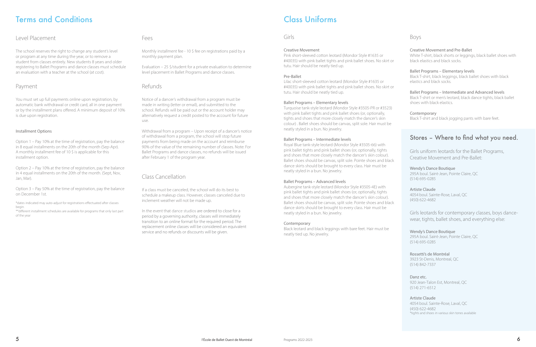## Terms and Conditions

#### Level Placement

The school reserves the right to change any student's level or program at any time during the year, or to remove a student from classes entirely. New students 8 years and older registering to Ballet Programs and dance classes must schedule an evaluation with a teacher at the school (at cost).

#### Payment

You must set up full payments online upon registration, by automatic bank withdrawal or credit card, all in one payment or by the installment plans offered. A minimum deposit of 10% is due upon registration.

#### Installment Options

Option 1 – Pay 10% at the time of registration, pay the balance in 8 equal installments on the 20th of the month (Sep-Apr). A monthly installment fee of 10 \$ is applicable for this installment option.

Option 2 – Pay 10% at the time of registration, pay the balance in 4 equal installments on the 20th of the month. (Sept, Nov, Jan, Mar).

Option 3 – Pay 50% at the time of registration, pay the balance on December 1st.

\*dates indicated may auto-adjust for registrations effectuated after classes begin.

\*\*different installment schedules are available for programs that only last part of the year

#### Fees

Monthly installment fee - 10 \$ fee on registrations paid by a monthly payment plan.

Evaluation – 25 \$/student for a private evaluation to determine level placement in Ballet Programs and dance classes.

#### Refunds

Notice of a dancer's withdrawal from a program must be made in writing (letter or email), and submitted to the school. Refunds will be paid out or the account holder may alternatively request a credit posted to the account for future use.

Withdrawal from a program – Upon receipt of a dancer's notice of withdrawal from a program, the school will stop future payments from being made on the account and reimburse 90% of the value of the remaining number of classes. Note: For Ballet Programs and dance classes, no refunds will be issued after February 1 of the program year.

### Class Cancellation

If a class must be canceled, the school will do its best to schedule a makeup class. However, classes canceled due to inclement weather will not be made up.

In the event that dance studios are ordered to close for a period by a governing authority, classes will immediately transition to an online format for the required period. The replacement online classes will be considered an equivalent service and no refunds or discounts will be given.

## Class Uniforms

#### Girls

#### Creative Movement

Pink short-sleeved cotton leotard (Mondor Style #1635 or #40035) with pink ballet tights and pink ballet shoes. No skirt or tutu. Hair should be neatly tied up.

#### Pre-Ballet

Lilac short-sleeved cotton leotard (Mondor Style #1635 or #40035) with pink ballet tights and pink ballet shoes. No skirt or tutu. Hair should be neatly tied up.

#### Ballet Programs – Elementary levels

Turquoise tank-style leotard (Mondor Style #3505-PR or #3523) with pink ballet tights and pink ballet shoes (or, optionally, tights and shoes that more closely match the dancer's skin colour) . Ballet shoes should be canvas, split sole. Hair must be neatly styled in a bun. No jewelry.

#### Ballet Programs – Intermediate levels

Royal Blue tank-style leotard (Mondor Style #3505-66) with pink ballet tights and pink ballet shoes (or, optionally, tights and shoes that more closely match the dancer's skin colour). Ballet shoes should be canvas, split sole. Pointe shoes and black dance skirts should be brought to every class. Hair must be neatly styled in a bun. No jewelry.

#### Ballet Programs – Advanced levels

Aubergine tank-style leotard (Mondor Style #3505-4E) with pink ballet tights and pink ballet shoes (or, optionally, tights and shoes that more closely match the dancer's skin colour). Ballet shoes should be canvas, split sole. Pointe shoes and black dance skirts should be brought to every class. Hair must be neatly styled in a bun. No jewelry.

#### Contemporary

Black leotard and black leggings with bare feet. Hair must be neatly tied up. No jewelry.

#### Boys

#### Creative Movement and Pre-Ballet

White T-shirt, black shorts or leggings, black ballet shoes with black elastics and black socks.

#### Ballet Programs – Elementary levels

Black T-shirt, black leggings, black ballet shoes with black elastics and black socks.

Ballet Programs – Intermediate and Advanced levels Black T-shirt or men's leotard, black dance tights, black ballet shoes with black elastics.

#### Contemporary

Black T-shirt and black jogging pants with bare feet.

## Stores – Where to find what you need.

Girls uniform leotards for the Ballet Programs, Creative Movement and Pre-Ballet:

#### Wendy's Dance Boutique

295A boul. Saint-Jean, Pointe Claire, QC (514) 695-0285

#### Artiste Claude

4054 boul. Sainte-Rose, Laval, QC (450) 622-4682

Girls leotards for contemporary classes, boys dancewear, tights, ballet shoes, and everything else:

Wendy's Dance Boutique 295A boul. Saint-Jean, Pointe Claire, QC (514) 695-0285

Rossetti's de Montréal 3923 St-Denis, Montreal, QC (514) 842-7337

Danz etc.

920 Jean-Talon Est, Montreal, QC (514) 271-6512

#### Artiste Claude

4054 boul. Sainte-Rose, Laval, QC (450) 622-4682 \*tights and shoes in various skin tones available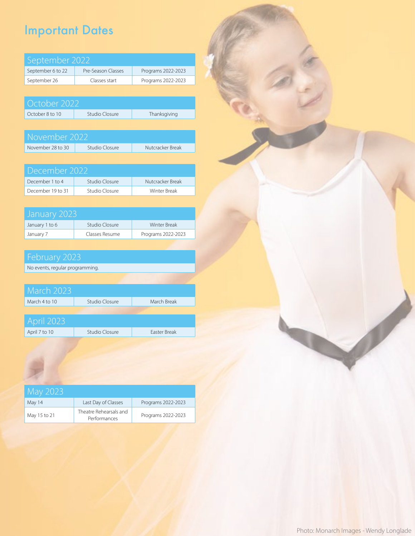## Important Dates

| September 2022    |                    |                    |  |  |  |
|-------------------|--------------------|--------------------|--|--|--|
| September 6 to 22 | Pre-Season Classes | Programs 2022-2023 |  |  |  |
| September 26      | Classes start      | Programs 2022-2023 |  |  |  |

| October 2022    |                |              |
|-----------------|----------------|--------------|
| October 8 to 10 | Studio Closure | Thanksgiving |

| November 2022     |                |                  |  |  |  |
|-------------------|----------------|------------------|--|--|--|
| November 28 to 30 | Studio Closure | Nutcracker Break |  |  |  |

| December 2022     |                |                  |  |  |  |
|-------------------|----------------|------------------|--|--|--|
| December 1 to 4   | Studio Closure | Nutcracker Break |  |  |  |
| December 19 to 31 | Studio Closure | Winter Break     |  |  |  |

| January 2023'  |                |                     |
|----------------|----------------|---------------------|
| January 1 to 6 | Studio Closure | <b>Winter Break</b> |
| January 7      | Classes Resume | Programs 2022-2023  |

No events, regular programming.

| <b>March 2023</b> |                |                     |
|-------------------|----------------|---------------------|
| March 4 to 10     | Studio Closure | March Break         |
|                   |                |                     |
| <b>April 2023</b> |                |                     |
| April 7 to 10     | Studio Closure | <b>Faster Break</b> |

| May 2023     |                                        |                    |
|--------------|----------------------------------------|--------------------|
| May 14       | Last Day of Classes                    | Programs 2022-2023 |
| May 15 to 21 | Theatre Rehearsals and<br>Performances | Programs 2022-2023 |

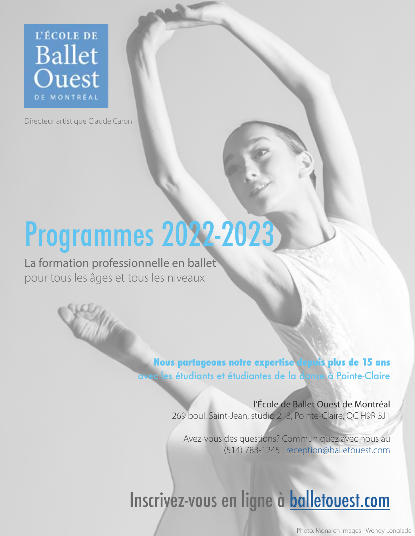

Directeur artistique Claude Caron

# Programmes 2022-2023

La formation professionnelle en ballet pour tous les âges et tous les niveaux

> **Nous partageons notre expertise depuis plus de 15 ans**  avec les étudiants et étudiantes de la danse à Pointe-Claire

> > l'École de Ballet Ouest de Montréal 269 boul. Saint-Jean, studio 218, Pointe-Claire, QC H9R 3J1

Avez-vous des questions? Communiquez avec nous au (514) 783-1245 | [reception@balletouest.com](mailto:reception%40balletouest.com?subject=)

# Inscrivez-vous en ligne à **[balletouest.com](https://balletouest.com/fr/ecole/)**

Photo: Monarch Images - Wendy Longlade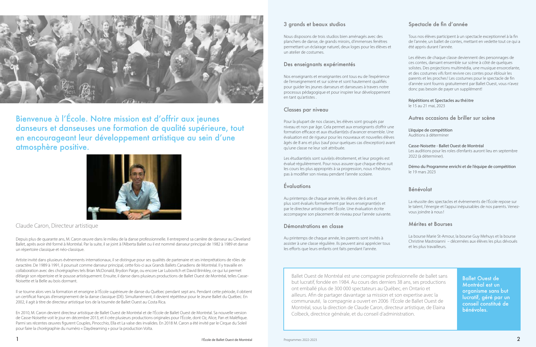#### 3 grands et beaux studios

Nous disposons de trois studios bien aménagés avec des planchers de danse, de grands miroirs, d'immenses fenêtres permettant un éclairage naturel, deux loges pour les élèves et un atelier de costumes.

#### Des enseignants expérimentés

Nos enseignants et enseignantes ont tous eu de l'expérience de l'enseignement et sur scène et sont hautement qualifiés pour guider les jeunes danseurs et danseuses à travers notre processus pédagogique et pour inspirer leur développement en tant qu'artistes .

#### Classes par niveau

Pour la plupart de nos classes, les élèves sont groupés par niveau et non par âge. Cela permet aux enseignants d'offrir une formation efficace et aux étudiant(e)s d'avancer ensemble. Une évaluation est de rigueur pour les nouveaux et nouvelles élèves âgés de 8 ans et plus (sauf pour quelques cas d'exception) avant qu'une classe ne leur soit attribuée.

Les étudiant(e)s sont suivi(e)s étroitement, et leur progrès est évalué régulièrement. Pour nous assurer que chaque élève suit les cours les plus appropriés à sa progression, nous n'hésitons pas à modifier son niveau pendant l'année scolaire.

#### Évaluations

Au printemps de chaque année, les élèves de 6 ans et plus sont évalués formellement par leurs enseignant(e)s et par le directeur artistique de l'École. Une évaluation écrite accompagne son placement de niveau pour l'année suivante.

#### Démonstrations en classe

Au printemps de chaque année, les parents sont invités à assister à une classe régulière. Ils peuvent ainsi apprécier tous les efforts que leurs enfants ont faits pendant l'année.

### Spectacle de fin d'année

Tous nos élèves participent à un spectacle exceptionnel à la fin de l'année, un ballet de contes, mettant en vedette tout ce qui a été appris durant l'année.

Les élèves de chaque classe deviennent des personnages de ces contes, dansant ensemble sur scène à côté de quelques solistes. Des projections multimédia, une musique ensorcelante, et des costumes vifs font revivre ces contes pour éblouir les parents et les proches! Les costumes pour le spectacle de fin d'année sont fournis gratuitement par Ballet Ouest, vous n'avez donc pas besoin de payer un supplément!

#### Répétitions et Spectacles au théâtre

le 15 au 21 mai, 2023

#### Autres occasions de briller sur scène

#### L'équipe de compétition

Auditions à déterminer

#### Casse-Noisette - Ballet Ouest de Montréal

Les auditions pour les roles d'enfants auront lieu en septembre 2022 (à déterminer).

#### Démo du Programme enrichi et de l'équipe de compétition le 19 mars 2023

#### Bénévolat

La réussite des spectacles et évènements de l'École repose sur le talent, l'énergie et l'appui inépuisables de nos parents. Venezvous joindre à nous!

#### Mérites et Bourses

La bourse Marie St-Amour, la bourse Guy Mehuys et la bourse Christine Mastroianni – décernées aux élèves les plus dévoués et les plus travailleurs.



Bienvenue à l'École. Notre mission est d'offrir aux jeunes danseurs et danseuses une formation de qualité supérieure, tout en encourageant leur développement artistique au sein d'une atmosphère positive.



#### Claude Caron, Directeur artistique

Depuis plus de quarante ans, M. Caron œuvre dans le milieu de la danse professionnelle. Il entreprend sa carrière de danseur au Cleveland Ballet, après avoir été formé à Montréal. Par la suite, il se joint à l'Alberta Ballet ou il est nommé danseur principal de 1982 à 1989 et danse un répertoire classique et néo-classique.

Artiste invité dans plusieurs évènements internationaux, il se distingue pour ses qualités de partenaire et ses interprétations de rôles de caractère. De 1989 à 1991, il poursuit comme danseur principal, cette fois-ci aux Grands Ballets Canadiens de Montréal. Il y travaille en collaboration avec des chorégraphes tels Brian McDonald, Brydon Paige, ou encore Lar Lubovitch et David Brinkley, ce qui lui permet d'élargir son répertoire et le pousse artistiquement. Ensuite, il danse dans plusieurs productions de Ballet Ouest de Montréal, telles Casse-Noisette et la Belle au bois dormant.

Il se tourne alors vers la formation et enseigne à l'École supérieure de danse du Québec pendant sept ans. Pendant cette période, il obtient un certificat français d'enseignement de la danse classique (DE). Simultanément, il devient répétiteur pour le Jeune Ballet du Québec. En 2002, il agit à titre de directeur artistique lors de la tournée de Ballet Ouest au Costa Rica.

En 2010, M. Caron devient directeur artistique de Ballet Ouest de Montréal et de l'École de Ballet Ouest de Montréal. Sa nouvelle version de Casse-Noisette voit le jour en décembre 2013, et il crée plusieurs productions originales pour l'École, dont Oz, Alice, Pan et Maléfique. Parmi ses récentes œuvres figurent Couples, Pinocchio, Ella et La valse des invalides. En 2018 M. Caron a été invité par le Cirque du Soleil pour faire la chorégraphie du numéro « Daydreaming » pour la production Volta.

Ballet Ouest de Montréal est un organisme sans but lucratif, géré par un conseil constitué de bénévoles.

Ballet Ouest de Montréal est une compagnie professionnelle de ballet sans but lucratif, fondée en 1984. Au cours des derniers 38 ans, ses productions ont emballé plus de 300 000 spectateurs au Québec, en Ontario et ailleurs. Afin de partager davantage sa mission et son expertise avec la communauté, la compagnie a ouvert en 2006 l'École de Ballet Ouest de Montréal, sous la direction de Claude Caron, directeur artistique, de Elaina Colbeck, directrice générale, et du conseil d'administration.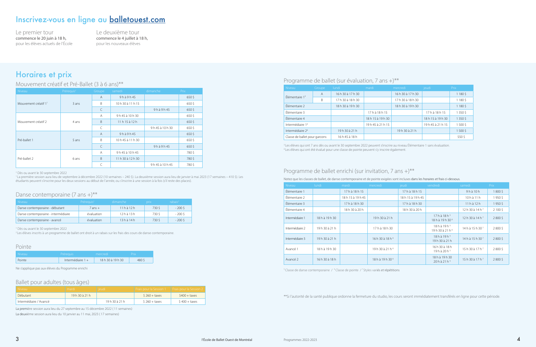### Programme de ballet (sur évaluation, 7 ans +)\*\*

| $\overline{\phantom{0}}$<br>Niveau | Groupe         | lundi             | mardi             | mercredi          | jeudi             | Prix       |
|------------------------------------|----------------|-------------------|-------------------|-------------------|-------------------|------------|
|                                    | $\overline{A}$ | 16 h 30 à 17 h 30 |                   | 16 h 30 à 17 h 30 |                   | 1 180 \$   |
| Élémentaire $13$                   | B              | 17 h 30 à 18 h 30 |                   | 17 h 30 à 18 h 30 |                   | 1 1 8 0 \$ |
| Élémentaire 2                      |                | 18 h 30 à 19 h 30 |                   | 18 h 30 à 19 h 30 |                   | 1 1 8 0 \$ |
| Élémentaire 3                      |                |                   | 17 h à 18 h 15    |                   | 17 h à 18 h 15    | 1 350 \$   |
| Élémentaire 4                      |                |                   | 18 h 15 à 19 h 30 |                   | 18 h 15 à 19 h 30 | 1 350 \$   |
| Intermédiaire 14                   |                |                   | 19 h 45 à 21 h 15 |                   | 19 h 45 à 21 h 15 | 1500\$     |
| Intermédiaire 2 <sup>4</sup>       |                | 19h 30 à 21 h     |                   | 19h 30 à 21 h     |                   | 1500\$     |
| Classe de ballet pour garcons      |                | 16 h 45 à 18 h    |                   |                   |                   | 550\$      |

<sup>3</sup> Les élèves qui ont 7 ans dès ou avant le 30 septembre 2022 peuvent s'inscrire au niveau Élémentaire 1 sans évaluation. 4 Les élèves qui ont été évalué pour une classe de pointe peuvent s'y inscrire également.

#### Programme de ballet enrichi (sur invitation, 7 ans +)\*\*

Notez que les classes de ballet, de danse contemporaine et de pointe exigées sont incluses dans les horaires et frais ci-dessous.

| <b>Niveau</b>   | lundi          | mardi             | mercredi                    | jeudi             | vendredi                                                 | samedi                      | Prix           |
|-----------------|----------------|-------------------|-----------------------------|-------------------|----------------------------------------------------------|-----------------------------|----------------|
| Élémentaire 1   |                | 17 h à 18 h 15    |                             | 17 h à 18 h 15    |                                                          | $9h$ à $10h$                | 1800\$         |
| Élémentaire 2   |                | 18 h 15 à 19 h 45 |                             | 18 h 15 à 19 h 45 |                                                          | $10h$ à 11 h                | 1950\$         |
| Élémentaire 3   |                | 17 h à 18 h 30    |                             | 17 h à 18 h 30    |                                                          | $11h$ à 12 $h$              | 1950\$         |
| Élémentaire 4   |                | 18 h 30 à 20 h    |                             | 18 h 30 à 20 h    |                                                          | 12h30a14h7                  | $2100\sqrt{5}$ |
| Intermédiaire 1 | 18 h à 19 h 30 |                   | 19 h 30 à 21 h              |                   | $17h$ à 18 h <sup>5</sup><br>18 h à 19 h 30 <sup>6</sup> | 12 h 30 à 14 h $^7$         | 2800\$         |
| Intermédiaire 2 | 19h 30 à 21 h  |                   | 17 h à 18 h 30              |                   | $18h$ à $19h$ <sup>5</sup><br>19 h 30 à 21 h 6           | 14 h à 15 h 30 <sup>7</sup> | $2800\sqrt{2}$ |
| Intermédiaire 3 | 19h 30 à 21 h  |                   | 16 h 30 à 18 h 6            |                   | $18h$ à $19h$ <sup>5</sup><br>19 h 30 à 21 h             | 14 h à 15 h 30 <sup>7</sup> | 2800\$         |
| Avancé 1        | 18 h à 19 h 30 |                   | 19 h 30 à 21 h 6            |                   | 16 h 30 à 18 h<br>$19h$ à 20 h <sup>5</sup>              | 15 h 30 à 17 h 7            | $2800\sqrt{2}$ |
| Avancé 2        | 16 h 30 à 18 h |                   | 18 h à 19 h 30 <sup>6</sup> |                   | 18 h à 19 h 30<br>$20 h$ à 21 h <sup>5</sup>             | 15 h 30 à 17 h 7            | 2800\$         |
|                 |                |                   |                             |                   |                                                          |                             |                |

<sup>5</sup> Classe de danse contemporaine / <sup>6</sup> Classe de pointe /<sup>7</sup> Styles variés et répétitions

\*\*Si l'autorité de la santé publique ordonne la fermeture du studio, les cours seront immédiatement transférés en ligne pour cette période.

## Horaires et prix

#### Mouvement créatif et Pré-Ballet (3 à 6 ans)\*\*

| Niveau                           | Prérequis <sup>+</sup> | Groupe         | samedi            | dimanche        | Prix             |
|----------------------------------|------------------------|----------------|-------------------|-----------------|------------------|
|                                  |                        | $\overline{A}$ | 9hà9h45           |                 | 650 <sup>5</sup> |
| Mouvement créatif 1 <sup>1</sup> | 3 ans                  | B              | 10 h 30 à 11 h 15 |                 | 650\$            |
|                                  |                        | C              |                   | 9hà9h45         | 650\$            |
|                                  |                        | $\overline{A}$ | 9h 45 à 10 h 30   |                 | 650\$            |
| Mouvement créatif 2              | 4 ans                  | B              | $11h15$ à $12h$   |                 | 650 <sup>5</sup> |
|                                  |                        | C              |                   | 9h 45 à 10 h 30 | 650\$            |
|                                  |                        | $\overline{A}$ | 9hà9h45           |                 | 650\$            |
| Pré-ballet 1                     | 5 ans                  | B              | 10 h 45 à 11 h 30 |                 | 650\$            |
|                                  |                        | $\subset$      |                   | 9hà9h45         | 650\$            |
|                                  |                        | A              | 9h 45 à 10 h 45   |                 | 780\$            |
| Pré-ballet 2                     | 6 ans                  | B              | 11 h 30 à 12 h 30 |                 | 780\$            |
|                                  |                        | C              |                   | 9h 45 à 10 h 45 | 780\$            |

† Dès ou avant le 30 septembre 2022

1 La première session aura lieu de septembre à décembre 2022 (10 semaines – 240 \$). La deuxième session aura lieu de janvier à mai 2023 (17 semaines – 410 \$). Les étudiants peuvent s'inscrire pour les deux sessions au début de l'année, ou s'inscrire à une session à la fois (s'il reste des places).

#### Danse contemporaine  $(7 \text{ ans } +)^{**}$

| - Niveau -                          | Prérequis <sup>t</sup> | dimanche      | prix   | rabais <sup>2</sup> |
|-------------------------------------|------------------------|---------------|--------|---------------------|
| Danse contemporaine - débutant      | 7 ans +                | $11h$ à $12h$ | 730 \$ | $-200\,\text{S}$    |
| Danse contemporaine - intermédiaire | évaluation             | $12h$ à $13h$ | 730 \$ | $-200S$             |
| Danse contemporaine - avancé        | évaluation             | 13 h à 14 h   | 730 \$ | $-2005$             |

† Dès ou avant le 30 septembre 2022

<sup>2</sup> Les élèves inscrits à un programme de ballet ont droit à un rabais sur les frais des cours de danse contemporaine.

#### Pointe

| Niveau. | Préreguis           | mercredi          |       |
|---------|---------------------|-------------------|-------|
| Pointe  | Intermédiaire $1 +$ | 18 h 30 à 19 h 30 | 480 S |

Ne s'applique pas aux élèves du Programme enrichi

#### Ballet pour adultes (tous âges)

| Niveau                              | mardi          | lieudi <sup>.</sup> | Frais pour la Session 1   Frais pour la Session 2 |                |
|-------------------------------------|----------------|---------------------|---------------------------------------------------|----------------|
| Débutant                            | $19h30$ à 21 h |                     | $$260 + \text{taxes}$                             | $$400 + taxes$ |
| <sup>1</sup> Intermédiaire / Avancé |                | 19h30a31h           | $$260 + taxes$                                    | $$400 + taxes$ |

La première session aura lieu du 27 septembre au 15 décembre 2022 ( 11 semaines)

La deuxième session aura lieu du 10 janvier au 11 mai, 2023 ( 17 semaines)

## Inscrivez-vous en ligne au [balletouest.com](https://balletouest.com/fr/ecole/)

Le premier tour commence le 20 juin à 18 h, pour les élèves actuels de l'École Le deuxième tour commence le 4 juillet à 18 h, pour les nouveaux élèves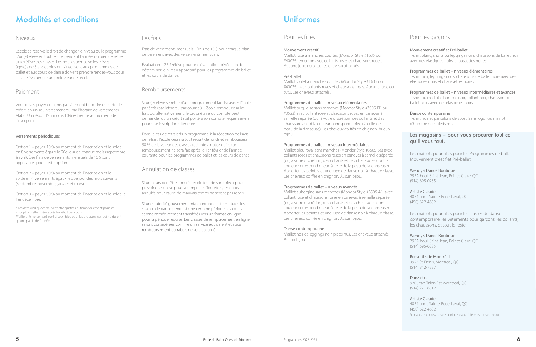## Modalités et conditions

#### Niveaux

L'école se réserve le droit de changer le niveau ou le programme d'un(e) élève en tout temps pendant l'année, ou bien de retirer un(e) élève des classes. Les nouveaux/nouvelles élèves âgé(e)s de 8 ans et plus qui s'inscrivent aux programmes de ballet et aux cours de danse doivent prendre rendez-vous pour se faire évaluer par un professeur de l'école.

#### Paiement

Vous devez payer en ligne, par virement bancaire ou carte de crédit, en un seul versement ou par l'horaire de versements établi. Un dépot d'au moins 10% est requis au moment de l'inscription.

#### Versements périodiques

Option 1 – payez 10 % au moment de l'inscription et le solde en 8 versements égaux le 20e jour de chaque mois (septembre à avril). Des frais de versements mensuels de 10 \$ sont applicables pour cette option.

Option 2 – payez 10 % au moment de l'inscription et le solde en 4 versements égaux le 20e jour des mois suivants (septembre, novembre, janvier et mars).

Option 3 – payez 50 % au moment de l'inscription et le solde le 1er décembre.

\* Les dates indiquées peuvent être ajustées automatiquement pour les inscriptions effectuées après le début des cours. \*\*différents versement sont disponibles pour les programmes qui ne durent qu'une partie de l'année

#### Les frais

Frais de versements mensuels - Frais de 10 \$ pour chaque plan de paiement avec des versements mensuels.

Évaluation – 25 \$/élève pour une évaluation privée afin de déterminer le niveau approprié pour les programmes de ballet et les cours de danse.

#### Remboursements

Si un(e) élève se retire d'une programme, il faudra aviser l'école par écrit (par lettre ou par courriel). L'école remboursera les frais ou, alternativement, le propriétaire du compte peut demander qu'un crédit soit porté à son compte, lequel servira pour une inscription ultérieure.

Dans le cas de retrait d'un programme, à la réception de l'avis de retrait, l'école cessera tout retrait de fonds et remboursera 90 % de la valeur des classes restantes; notez qu'aucun remboursement ne sera fait après le 1er février de l'année courante pour les programmes de ballet et les cours de danse.

#### Annulation de classes

Si un cours doit être annulé, l'école fera de son mieux pour prévoir une classe pour la remplacer. Toutefois, les cours annulés pour cause de mauvais temps ne seront pas repris.

Si une autorité gouvernementale ordonne la fermeture des studios de danse pendant une certaine période, les cours seront immédiatement transférés vers un format en ligne pour la période requise. Les classes de remplacement en ligne seront considérées comme un service équivalent et aucun remboursement ou rabais ne sera accordé.

## Uniformes

#### Pour les filles

#### Mouvement créatif

Maillot rose à manches courtes (Mondor Style #1635 ou #40035) en coton avec collants roses et chaussons roses. Aucune jupe ou tutu. Les cheveux attachés.

#### Pré-ballet

Maillot violet à manches courtes (Mondor Style #1635 ou #40035) avec collants roses et chaussons roses. Aucune jupe ou tutu. Les cheveux attachés.

#### Programmes de ballet – niveaux élémentaires

Maillot turquoise sans manches (Mondor Style #3505-PR ou #3523) avec collant rose et chaussons roses en canevas à semelle séparée (ou, à votre discrétion, des collants et des chaussures dont la couleur correspond mieux à celle de la peau de la danseuse). Les cheveux coiffés en chignon. Aucun bijou.

#### Programmes de ballet – niveaux intermédiaires

Maillot bleu royal sans manches (Mondor Style #3505-66) avec collants roses et chaussons roses en canevas à semelle séparée (ou, à votre discrétion, des collants et des chaussures dont la couleur correspond mieux à celle de la peau de la danseuse). Apporter les pointes et une jupe de danse noir à chaque classe. Les cheveux coiffés en chignon. Aucun bijou.

#### Programmes de ballet – niveaux avancés

Maillot aubergine sans manches (Mondor Style #3505-4E) avec collant rose et chaussons roses en canevas à semelle séparée (ou, à votre discrétion, des collants et des chaussures dont la couleur correspond mieux à celle de la peau de la danseuse). Apporter les pointes et une jupe de danse noir à chaque classe. Les cheveux coiffés en chignon. Aucun bijou.

#### Danse contemporaine

Maillot noir et leggings noir, pieds nus. Les cheveux attachés. Aucun bijou.

## Pour les garçons

#### Mouvement créatif et Pré-ballet

T-shirt blanc, shorts ou leggings noirs, chaussons de ballet noir avec des élastiques noirs, chaussettes noires.

#### Programmes de ballet – niveaux élémentaires

T-shirt noir, leggings noirs, chaussons de ballet noirs avec des élastiques noirs et chaussettes noires.

#### Programmes de ballet – niveaux intermédiaires et avancés

T-shirt ou maillot d'homme noir, collant noir, chaussons de ballet noirs avec des élastiques noirs.

#### Danse contemporaine

T-shirt noir et pantalons de sport (sans logo) ou maillot d'homme noir, pieds nus.

#### Les magasins – pour vous procurer tout ce qu'il vous faut.

Les maillots pour filles pour les Programmes de ballet, Mouvement créatif et Pré-ballet:

#### Wendy's Dance Boutique

295A boul. Saint-Jean, Pointe Claire, QC (514) 695-0285

#### Artiste Claude

4054 boul. Sainte-Rose, Laval, QC (450) 622-4682

Les maillots pour filles pour les classes de danse contemporaine, les vêtements pour garçons, les collants, les chaussons, et tout le reste :

#### Wendy's Dance Boutique

295A boul. Saint-Jean, Pointe Claire, QC (514) 695-0285

#### Rossetti's de Montréal

3923 St-Denis, Montreal, QC (514) 842-7337

#### Danz etc.

920 Jean-Talon Est, Montreal, QC (514) 271-6512

#### Artiste Claude

4054 boul. Sainte-Rose, Laval, QC (450) 622-4682 \*collants et chaussures disponibles dans différents tons de peau

Programmes 2022-2023  $\bullet$